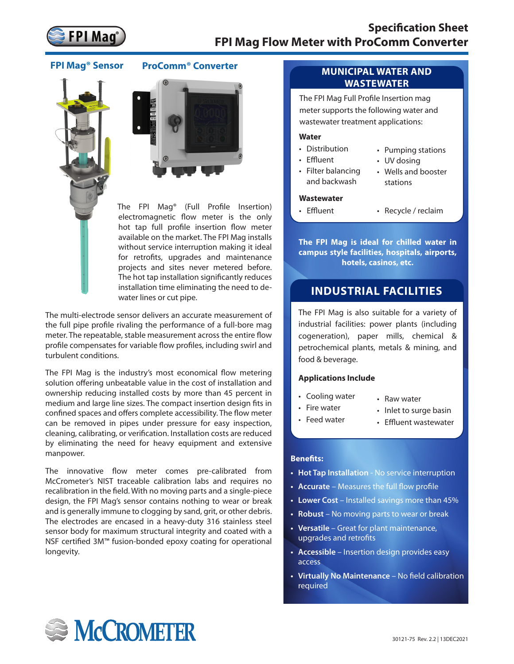

**FPI Mag® Sensor ProComm® Converter**





The FPI Mag® (Full Profile Insertion) electromagnetic flow meter is the only hot tap full profile insertion flow meter available on the market. The FPI Mag installs without service interruption making it ideal for retrofits, upgrades and maintenance projects and sites never metered before. The hot tap installation significantly reduces installation time eliminating the need to dewater lines or cut pipe.

The multi-electrode sensor delivers an accurate measurement of the full pipe profile rivaling the performance of a full-bore mag meter. The repeatable, stable measurement across the entire flow profile compensates for variable flow profiles, including swirl and turbulent conditions.

The FPI Mag is the industry's most economical flow metering solution offering unbeatable value in the cost of installation and ownership reducing installed costs by more than 45 percent in medium and large line sizes. The compact insertion design fits in confined spaces and offers complete accessibility. The flow meter can be removed in pipes under pressure for easy inspection, cleaning, calibrating, or verification. Installation costs are reduced by eliminating the need for heavy equipment and extensive manpower.

The innovative flow meter comes pre-calibrated from McCrometer's NIST traceable calibration labs and requires no recalibration in the field. With no moving parts and a single-piece design, the FPI Mag's sensor contains nothing to wear or break and is generally immune to clogging by sand, grit, or other debris. The electrodes are encased in a heavy-duty 316 stainless steel sensor body for maximum structural integrity and coated with a NSF certified 3M™ fusion-bonded epoxy coating for operational longevity.

# **MUNICIPAL WATER AND WASTEWATER**

The FPI Mag Full Profile Insertion mag meter supports the following water and wastewater treatment applications:

## **Water**

- Distribution
- Effluent
- Filter balancing
- Pumping stations
- UV dosing

stations

- and backwash
- Wells and booster
- 

#### **Wastewater**

- 
- Effluent Recycle / reclaim

**The FPI Mag is ideal for chilled water in campus style facilities, hospitals, airports, hotels, casinos, etc.**

# **INDUSTRIAL FACILITIES**

The FPI Mag is also suitable for a variety of industrial facilities: power plants (including cogeneration), paper mills, chemical & petrochemical plants, metals & mining, and food & beverage.

## **Applications Include**

- Cooling water
- Raw water
- Fire water • Feed water
- Inlet to surge basin
- Effluent wastewater

## **Benefits:**

- **• Hot Tap Installation** No service interruption
- **• Accurate** Measures the full flow profile
- **• Lower Cost** Installed savings more than 45%
- **• Robust**  No moving parts to wear or break
- **• Versatile** Great for plant maintenance, upgrades and retrofits
- **• Accessible** Insertion design provides easy access
- **• Virtually No Maintenance** No field calibration required

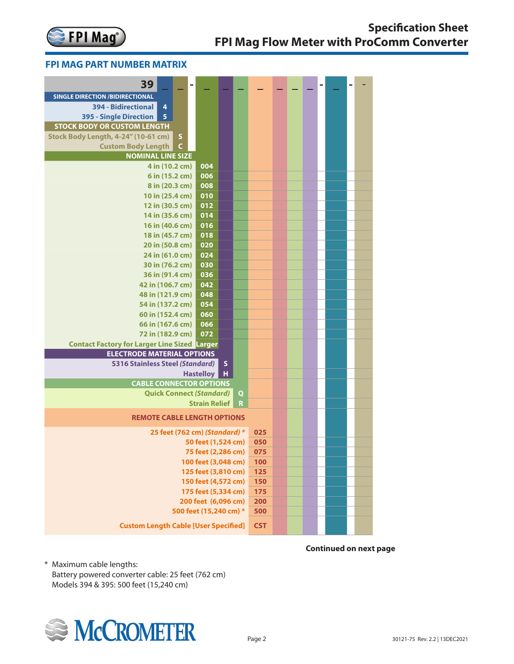

# **FPI Mag Part Number Matrix FPI MAG PART NUMBER MATRIX**

| 39                                                  |                      |                           |             |            |  |  |  |  |
|-----------------------------------------------------|----------------------|---------------------------|-------------|------------|--|--|--|--|
| <b>SINGLE DIRECTION /BIDIRECTIONAL</b>              |                      |                           |             |            |  |  |  |  |
| $\overline{4}$<br>394 - Bidirectional               |                      |                           |             |            |  |  |  |  |
| 395 - Single Direction<br>$\overline{\mathbf{5}}$   |                      |                           |             |            |  |  |  |  |
| <b>STOCK BODY OR CUSTOM LENGTH</b>                  |                      |                           |             |            |  |  |  |  |
| Stock Body Length, 4-24" (10-61 cm)<br>$\sf S$      |                      |                           |             |            |  |  |  |  |
| <b>Custom Body Length</b><br>$\mathsf C$            |                      |                           |             |            |  |  |  |  |
| <b>NOMINAL LINE SIZE</b>                            |                      |                           |             |            |  |  |  |  |
| 4 in (10.2 cm)                                      | 004                  |                           |             |            |  |  |  |  |
| 6 in (15.2 cm)                                      | 006                  |                           |             |            |  |  |  |  |
| 8 in (20.3 cm)                                      | 008                  |                           |             |            |  |  |  |  |
| 10 in (25.4 cm)                                     | 010                  |                           |             |            |  |  |  |  |
| 12 in (30.5 cm)                                     | 012                  |                           |             |            |  |  |  |  |
| 14 in (35.6 cm)                                     | 014                  |                           |             |            |  |  |  |  |
| 16 in (40.6 cm)                                     | 016                  |                           |             |            |  |  |  |  |
| 18 in (45.7 cm)                                     | 018                  |                           |             |            |  |  |  |  |
| 20 in (50.8 cm)                                     | 020                  |                           |             |            |  |  |  |  |
| 24 in (61.0 cm)<br>30 in (76.2 cm)                  | 024<br>030           |                           |             |            |  |  |  |  |
| 36 in (91.4 cm)                                     | 036                  |                           |             |            |  |  |  |  |
| 42 in (106.7 cm)                                    | 042                  |                           |             |            |  |  |  |  |
| 48 in (121.9 cm)                                    | 048                  |                           |             |            |  |  |  |  |
| 54 in (137.2 cm)                                    | 054                  |                           |             |            |  |  |  |  |
| 60 in (152.4 cm)                                    | 060                  |                           |             |            |  |  |  |  |
| 66 in (167.6 cm)                                    | 066                  |                           |             |            |  |  |  |  |
| 72 in (182.9 cm)                                    | 072                  |                           |             |            |  |  |  |  |
| <b>Contact Factory for Larger Line Sized Larger</b> |                      |                           |             |            |  |  |  |  |
| <b>ELECTRODE MATERIAL OPTIONS</b>                   |                      |                           |             |            |  |  |  |  |
| <b>S316 Stainless Steel (Standard)</b>              |                      | $\boldsymbol{\mathsf{S}}$ |             |            |  |  |  |  |
|                                                     | <b>Hastelloy</b>     | H                         |             |            |  |  |  |  |
| <b>CABLE CONNECTOR OPTIONS</b>                      |                      |                           |             |            |  |  |  |  |
| <b>Quick Connect (Standard)</b>                     |                      |                           | $\mathbf Q$ |            |  |  |  |  |
|                                                     | <b>Strain Relief</b> |                           | $\mathbf R$ |            |  |  |  |  |
| <b>REMOTE CABLE LENGTH OPTIONS</b>                  |                      |                           |             |            |  |  |  |  |
| 25 feet (762 cm) (Standard) *                       |                      |                           |             | 025        |  |  |  |  |
|                                                     | 50 feet (1,524 cm)   |                           |             | 050        |  |  |  |  |
|                                                     | 75 feet (2,286 cm)   |                           |             | 075        |  |  |  |  |
|                                                     | 100 feet (3,048 cm)  |                           |             | <b>100</b> |  |  |  |  |
|                                                     | 125 feet (3,810 cm)  |                           |             | 125        |  |  |  |  |
|                                                     | 150 feet (4,572 cm)  |                           |             | 150        |  |  |  |  |
|                                                     | 175 feet (5,334 cm)  |                           |             | 175        |  |  |  |  |
|                                                     | 200 feet (6,096 cm)  |                           |             | 200        |  |  |  |  |
| 500 feet (15,240 cm) *                              |                      |                           |             | 500        |  |  |  |  |
| <b>Custom Length Cable [User Specified]</b>         |                      |                           |             | <b>CST</b> |  |  |  |  |

**Continued on next page**

\* Maximum cable lengths: Battery powered converter cable: 25 feet (762 cm) Models 394 & 395: 500 feet (15,240 cm)

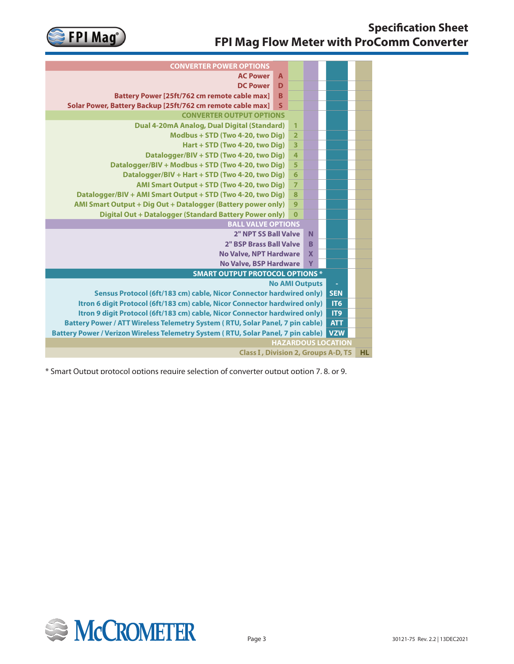

| <b>CONVERTER POWER OPTIONS</b>                                                    |                       |                         |                           |  |                 |  |  |  |  |  |
|-----------------------------------------------------------------------------------|-----------------------|-------------------------|---------------------------|--|-----------------|--|--|--|--|--|
| <b>AC Power</b>                                                                   | $\overline{A}$        |                         |                           |  |                 |  |  |  |  |  |
| <b>DC Power</b>                                                                   | D                     |                         |                           |  |                 |  |  |  |  |  |
| <b>Battery Power [25ft/762 cm remote cable max]</b>                               | B                     |                         |                           |  |                 |  |  |  |  |  |
| Solar Power, Battery Backup [25ft/762 cm remote cable max]                        | S                     |                         |                           |  |                 |  |  |  |  |  |
| <b>CONVERTER OUTPUT OPTIONS</b>                                                   |                       |                         |                           |  |                 |  |  |  |  |  |
| Dual 4-20mA Analog, Dual Digital (Standard)                                       |                       | $\mathbf{1}$            |                           |  |                 |  |  |  |  |  |
| Modbus + STD (Two 4-20, two Dig)                                                  |                       | $\overline{2}$          |                           |  |                 |  |  |  |  |  |
| Hart + STD (Two 4-20, two Dig)                                                    |                       | $\overline{\mathbf{3}}$ |                           |  |                 |  |  |  |  |  |
| Datalogger/BIV + STD (Two 4-20, two Dig)                                          |                       | 4                       |                           |  |                 |  |  |  |  |  |
| Datalogger/BIV + Modbus + STD (Two 4-20, two Dig)                                 |                       | 5                       |                           |  |                 |  |  |  |  |  |
| Datalogger/BIV + Hart + STD (Two 4-20, two Dig)                                   |                       | $6\phantom{1}6$         |                           |  |                 |  |  |  |  |  |
| AMI Smart Output + STD (Two 4-20, two Dig)                                        |                       | $\overline{7}$          |                           |  |                 |  |  |  |  |  |
| Datalogger/BIV + AMI Smart Output + STD (Two 4-20, two Dig)                       |                       | 8                       |                           |  |                 |  |  |  |  |  |
| AMI Smart Output + Dig Out + Datalogger (Battery power only)                      |                       | 9                       |                           |  |                 |  |  |  |  |  |
| <b>Digital Out + Datalogger (Standard Battery Power only)</b>                     |                       | $\mathbf 0$             |                           |  |                 |  |  |  |  |  |
| <b>BALL VALVE OPTIONS</b>                                                         |                       |                         |                           |  |                 |  |  |  |  |  |
| 2" NPT SS Ball Valve                                                              |                       |                         |                           |  |                 |  |  |  |  |  |
| 2" BSP Brass Ball Valve                                                           |                       |                         |                           |  |                 |  |  |  |  |  |
| <b>No Valve, NPT Hardware</b>                                                     |                       |                         | $\boldsymbol{\mathsf{x}}$ |  |                 |  |  |  |  |  |
| <b>No Valve, BSP Hardware</b>                                                     |                       |                         | Y                         |  |                 |  |  |  |  |  |
| <b>SMART OUTPUT PROTOCOL OPTIONS *</b>                                            |                       |                         |                           |  |                 |  |  |  |  |  |
|                                                                                   | <b>No AMI Outputs</b> |                         |                           |  | $\sim$          |  |  |  |  |  |
| Sensus Protocol (6ft/183 cm) cable, Nicor Connector hardwired only)               |                       |                         |                           |  | <b>SEN</b>      |  |  |  |  |  |
| Itron 6 digit Protocol (6ft/183 cm) cable, Nicor Connector hardwired only)        |                       |                         |                           |  | IT <sub>6</sub> |  |  |  |  |  |
| Itron 9 digit Protocol (6ft/183 cm) cable, Nicor Connector hardwired only)        |                       |                         |                           |  | IT9             |  |  |  |  |  |
| Battery Power / ATT Wireless Telemetry System (RTU, Solar Panel, 7 pin cable)     |                       |                         |                           |  | <b>ATT</b>      |  |  |  |  |  |
| Battery Power / Verizon Wireless Telemetry System (RTU, Solar Panel, 7 pin cable) |                       |                         |                           |  | <b>VZW</b>      |  |  |  |  |  |
| <b>HAZARDOUS LOCATION</b>                                                         |                       |                         |                           |  |                 |  |  |  |  |  |
| <b>Class I, Division 2, Groups A-D, T5</b>                                        |                       |                         |                           |  |                 |  |  |  |  |  |

\* Smart Output protocol options require selection of converter output option 7, 8, or 9.

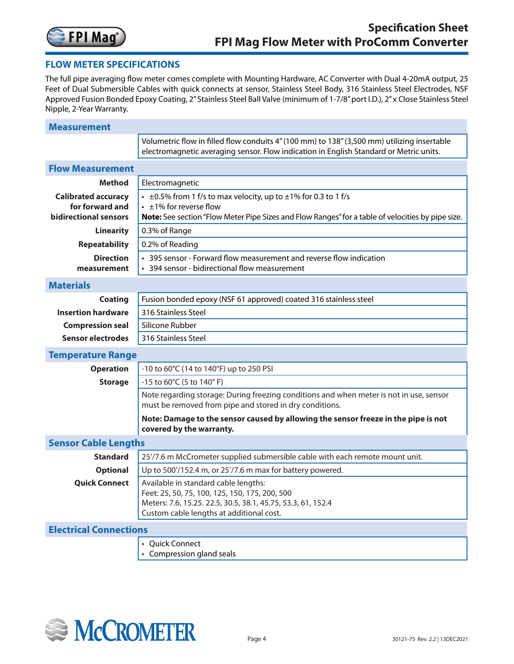

# **FLOW METER SPECIFICATIONS**

The full pipe averaging flow meter comes complete with Mounting Hardware, AC Converter with Dual 4-20mA output, 25 Feet of Dual Submersible Cables with quick connects at sensor, Stainless Steel Body, 316 Stainless Steel Electrodes, NSF Approved Fusion Bonded Epoxy Coating, 2" Stainless Steel Ball Valve (minimum of 1-7/8" port I.D.), 2" x Close Stainless Steel Nipple, 2-Year Warranty.

| <b>Measurement</b>                                                     |                                                                                                                                                                                                                |
|------------------------------------------------------------------------|----------------------------------------------------------------------------------------------------------------------------------------------------------------------------------------------------------------|
|                                                                        | Volumetric flow in filled flow conduits 4" (100 mm) to 138" (3,500 mm) utilizing insertable<br>electromagnetic averaging sensor. Flow indication in English Standard or Metric units.                          |
| <b>Flow Measurement</b>                                                |                                                                                                                                                                                                                |
| <b>Method</b>                                                          | Electromagnetic                                                                                                                                                                                                |
| <b>Calibrated accuracy</b><br>for forward and<br>bidirectional sensors | $\cdot$ ±0.5% from 1 f/s to max velocity, up to $\pm$ 1% for 0.3 to 1 f/s<br>$\cdot$ ±1% for reverse flow<br>Note: See section "Flow Meter Pipe Sizes and Flow Ranges" for a table of velocities by pipe size. |
| <b>Linearity</b>                                                       | 0.3% of Range                                                                                                                                                                                                  |
| <b>Repeatability</b>                                                   | 0.2% of Reading                                                                                                                                                                                                |
| <b>Direction</b><br>measurement                                        | • 395 sensor - Forward flow measurement and reverse flow indication<br>• 394 sensor - bidirectional flow measurement                                                                                           |
| <b>Materials</b>                                                       |                                                                                                                                                                                                                |
| <b>Coating</b>                                                         | Fusion bonded epoxy (NSF 61 approved) coated 316 stainless steel                                                                                                                                               |
| <b>Insertion hardware</b>                                              | 316 Stainless Steel                                                                                                                                                                                            |
| <b>Compression seal</b>                                                | Silicone Rubber                                                                                                                                                                                                |
| <b>Sensor electrodes</b>                                               | 316 Stainless Steel                                                                                                                                                                                            |
| <b>Temperature Range</b>                                               |                                                                                                                                                                                                                |
| <b>Operation</b>                                                       | -10 to 60°C (14 to 140°F) up to 250 PSI                                                                                                                                                                        |
| <b>Storage</b>                                                         | -15 to 60°C (5 to 140°F)                                                                                                                                                                                       |
|                                                                        | Note regarding storage: During freezing conditions and when meter is not in use, sensor<br>must be removed from pipe and stored in dry conditions.                                                             |
|                                                                        | Note: Damage to the sensor caused by allowing the sensor freeze in the pipe is not<br>covered by the warranty.                                                                                                 |
| <b>Sensor Cable Lengths</b>                                            |                                                                                                                                                                                                                |
| <b>Standard</b>                                                        | 25'/7.6 m McCrometer supplied submersible cable with each remote mount unit.                                                                                                                                   |
| <b>Optional</b>                                                        | Up to 500'/152.4 m, or 25'/7.6 m max for battery powered.                                                                                                                                                      |
| <b>Quick Connect</b>                                                   | Available in standard cable lengths:<br>Feet: 25, 50, 75, 100, 125, 150, 175, 200, 500<br>Meters: 7.6, 15.25. 22.5, 30.5, 38.1, 45.75, 53.3, 61, 152.4<br>Custom cable lengths at additional cost.             |
| <b>Electrical Connections</b>                                          |                                                                                                                                                                                                                |
|                                                                        | • Quick Connect<br>• Compression gland seals                                                                                                                                                                   |

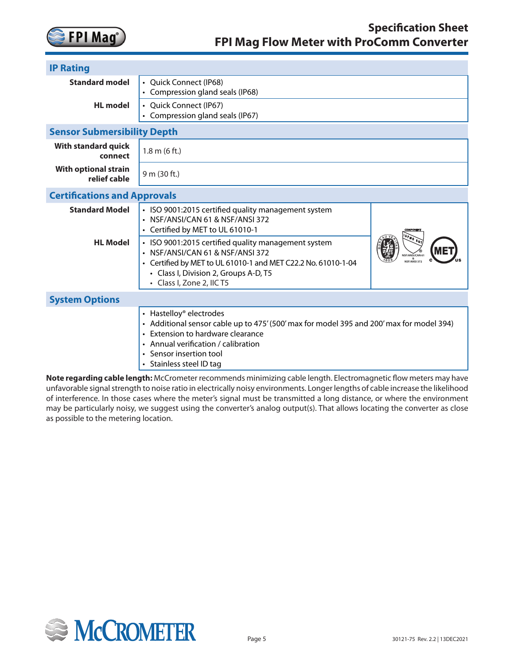

| <b>IP Rating</b>                            |                                                                                                                                                                                                                                                        |                                 |  |  |  |  |  |
|---------------------------------------------|--------------------------------------------------------------------------------------------------------------------------------------------------------------------------------------------------------------------------------------------------------|---------------------------------|--|--|--|--|--|
| <b>Standard model</b>                       | • Quick Connect (IP68)<br>• Compression gland seals (IP68)                                                                                                                                                                                             |                                 |  |  |  |  |  |
| <b>HL</b> model                             | • Quick Connect (IP67)<br>• Compression gland seals (IP67)                                                                                                                                                                                             |                                 |  |  |  |  |  |
| <b>Sensor Submersibility Depth</b>          |                                                                                                                                                                                                                                                        |                                 |  |  |  |  |  |
| <b>With standard quick</b><br>connect       | 1.8 m (6 ft.)                                                                                                                                                                                                                                          |                                 |  |  |  |  |  |
| <b>With optional strain</b><br>relief cable | 9 m (30 ft.)                                                                                                                                                                                                                                           |                                 |  |  |  |  |  |
| <b>Certifications and Approvals</b>         |                                                                                                                                                                                                                                                        |                                 |  |  |  |  |  |
| <b>Standard Model</b>                       | • ISO 9001:2015 certified quality management system<br>• NSF/ANSI/CAN 61 & NSF/ANSI 372<br>• Certified by MET to UL 61010-1                                                                                                                            | COMPONENT                       |  |  |  |  |  |
| <b>HL</b> Model                             | • ISO 9001:2015 certified quality management system<br>· NSF/ANSI/CAN 61 & NSF/ANSI 372<br>• Certified by MET to UL 61010-1 and MET C22.2 No. 61010-1-04<br>• Class I, Division 2, Groups A-D, T5<br>• Class I, Zone 2, IIC T5                         | ISF/ANSI/CAN 61<br>NSF/ANSI 372 |  |  |  |  |  |
| <b>System Options</b>                       |                                                                                                                                                                                                                                                        |                                 |  |  |  |  |  |
|                                             | • Hastelloy® electrodes<br>• Additional sensor cable up to 475' (500' max for model 395 and 200' max for model 394)<br>• Extension to hardware clearance<br>• Annual verification / calibration<br>• Sensor insertion tool<br>• Stainless steel ID tag |                                 |  |  |  |  |  |

**Note regarding cable length:** McCrometer recommends minimizing cable length. Electromagnetic flow meters may have unfavorable signal strength to noise ratio in electrically noisy environments. Longer lengths of cable increase the likelihood of interference. In those cases where the meter's signal must be transmitted a long distance, or where the environment may be particularly noisy, we suggest using the converter's analog output(s). That allows locating the converter as close as possible to the metering location.

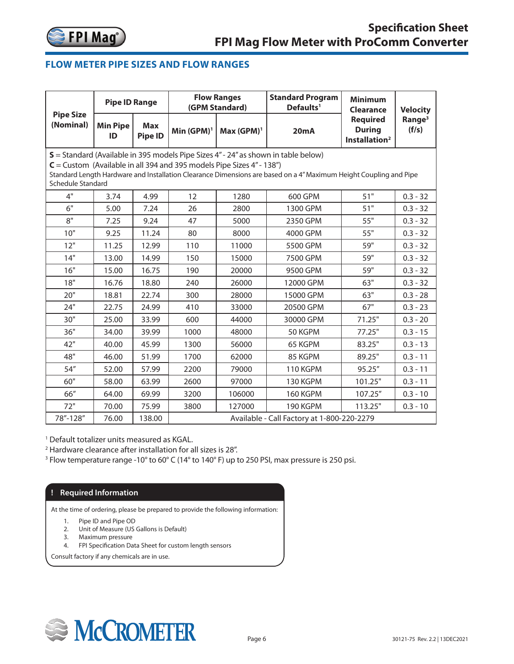

# <span id="page-5-0"></span>**FLOW METER PIPE SIZES AND FLOW RANGES**

|                                                                                                                                                                                                                                                                                                           | <b>Pipe ID Range</b>  |                       |                                            | <b>Flow Ranges</b><br>(GPM Standard)                          | <b>Standard Program</b><br>Defaults <sup>1</sup> | <b>Minimum</b><br><b>Clearance</b> | <b>Velocity</b> |  |  |  |  |  |
|-----------------------------------------------------------------------------------------------------------------------------------------------------------------------------------------------------------------------------------------------------------------------------------------------------------|-----------------------|-----------------------|--------------------------------------------|---------------------------------------------------------------|--------------------------------------------------|------------------------------------|-----------------|--|--|--|--|--|
| <b>Pipe Size</b><br>(Nominal)                                                                                                                                                                                                                                                                             | <b>Min Pipe</b><br>ID | <b>Max</b><br>Pipe ID | 20mA                                       | <b>Required</b><br><b>During</b><br>Installation <sup>2</sup> | Range <sup>3</sup><br>(f/s)                      |                                    |                 |  |  |  |  |  |
| $S =$ Standard (Available in 395 models Pipe Sizes 4" - 24" as shown in table below)<br>$C =$ Custom (Available in all 394 and 395 models Pipe Sizes 4" - 138")<br>Standard Length Hardware and Installation Clearance Dimensions are based on a 4" Maximum Height Coupling and Pipe<br>Schedule Standard |                       |                       |                                            |                                                               |                                                  |                                    |                 |  |  |  |  |  |
| 4"                                                                                                                                                                                                                                                                                                        | 3.74                  | 4.99                  | 12                                         | 1280                                                          | 600 GPM                                          | 51"                                | $0.3 - 32$      |  |  |  |  |  |
| 6"                                                                                                                                                                                                                                                                                                        | 5.00                  | 7.24                  | 26                                         | 2800                                                          | 1300 GPM                                         | 51"                                | $0.3 - 32$      |  |  |  |  |  |
| 8"                                                                                                                                                                                                                                                                                                        | 7.25                  | 9.24                  | 47                                         | 5000                                                          | 2350 GPM                                         | 55"                                | $0.3 - 32$      |  |  |  |  |  |
| 10"                                                                                                                                                                                                                                                                                                       | 9.25                  | 11.24                 | 80                                         | 8000                                                          | 4000 GPM                                         | 55"                                | $0.3 - 32$      |  |  |  |  |  |
| 12"                                                                                                                                                                                                                                                                                                       | 11.25                 | 12.99                 | 110                                        | 11000                                                         | 5500 GPM                                         | 59"                                | $0.3 - 32$      |  |  |  |  |  |
| 14"                                                                                                                                                                                                                                                                                                       | 13.00                 | 14.99                 | 150                                        | 15000                                                         | 7500 GPM                                         | 59"                                | $0.3 - 32$      |  |  |  |  |  |
| 16"                                                                                                                                                                                                                                                                                                       | 15.00                 | 16.75                 | 190                                        | 20000                                                         | 9500 GPM                                         | 59"                                | $0.3 - 32$      |  |  |  |  |  |
| 18"                                                                                                                                                                                                                                                                                                       | 16.76                 | 18.80                 | 240                                        | 26000                                                         | 12000 GPM                                        | 63"                                | $0.3 - 32$      |  |  |  |  |  |
| 20"                                                                                                                                                                                                                                                                                                       | 18.81                 | 22.74                 | 300                                        | 28000                                                         | 15000 GPM                                        | 63"                                | $0.3 - 28$      |  |  |  |  |  |
| 24"                                                                                                                                                                                                                                                                                                       | 22.75                 | 24.99                 | 410                                        | 33000                                                         | 20500 GPM                                        | 67"                                | $0.3 - 23$      |  |  |  |  |  |
| 30"                                                                                                                                                                                                                                                                                                       | 25.00                 | 33.99                 | 600                                        | 44000                                                         | 30000 GPM                                        | 71.25"                             | $0.3 - 20$      |  |  |  |  |  |
| 36"                                                                                                                                                                                                                                                                                                       | 34.00                 | 39.99                 | 1000                                       | 50 KGPM<br>48000                                              |                                                  | 77.25"                             | $0.3 - 15$      |  |  |  |  |  |
| 42"                                                                                                                                                                                                                                                                                                       | 40.00                 | 45.99                 | 1300                                       | 56000                                                         | 65 KGPM                                          | 83.25"                             | $0.3 - 13$      |  |  |  |  |  |
| 48"                                                                                                                                                                                                                                                                                                       | 46.00                 | 51.99                 | 1700                                       | 62000                                                         | 85 KGPM                                          | 89.25"                             | $0.3 - 11$      |  |  |  |  |  |
| 54''                                                                                                                                                                                                                                                                                                      | 52.00                 | 57.99                 | 2200                                       | 79000                                                         | 110 KGPM                                         | 95.25"                             | $0.3 - 11$      |  |  |  |  |  |
| 60"                                                                                                                                                                                                                                                                                                       | 58.00                 | 63.99                 | 2600                                       | 97000                                                         | 130 KGPM                                         | 101.25"                            | $0.3 - 11$      |  |  |  |  |  |
| 66"                                                                                                                                                                                                                                                                                                       | 64.00                 | 69.99                 | 3200                                       | 106000                                                        | 160 KGPM                                         | 107.25"                            | $0.3 - 10$      |  |  |  |  |  |
| 72"                                                                                                                                                                                                                                                                                                       | 70.00                 | 75.99                 | 3800                                       | 127000                                                        | 190 KGPM                                         | 113.25"                            | $0.3 - 10$      |  |  |  |  |  |
| 78"-128"                                                                                                                                                                                                                                                                                                  | 76.00                 | 138.00                | Available - Call Factory at 1-800-220-2279 |                                                               |                                                  |                                    |                 |  |  |  |  |  |

1 Default totalizer units measured as KGAL.

2 Hardware clearance after installation for all sizes is 28".

<sup>3</sup> Flow temperature range -10° to 60° C (14° to 140° F) up to 250 PSI, max pressure is 250 psi.

## **! Required Information**

At the time of ordering, please be prepared to provide the following information:

- 1. Pipe ID and Pipe OD
- 2. Unit of Measure (US Gallons is Default)
- 3. Maximum pressure
- 4. FPI Specification Data Sheet for custom length sensors

Consult factory if any chemicals are in use.

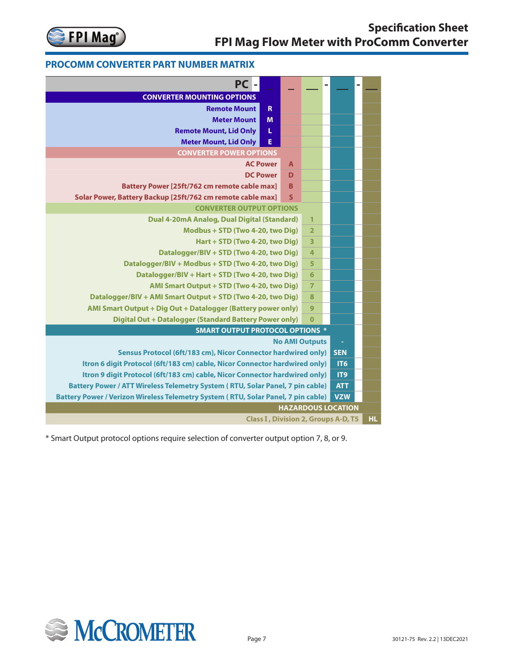

# **PROCOMM CONVERTER PART NUMBER MATRIX ProComm Converter Part Number Matrix**

| <b>PC</b>                                                                         |                |                         | ۰ |                           |     |
|-----------------------------------------------------------------------------------|----------------|-------------------------|---|---------------------------|-----|
| <b>CONVERTER MOUNTING OPTIONS</b>                                                 |                |                         |   |                           |     |
| $\mathbf R$<br><b>Remote Mount</b>                                                |                |                         |   |                           |     |
| <b>Meter Mount</b><br>M                                                           |                |                         |   |                           |     |
| <b>Remote Mount, Lid Only</b><br>L                                                |                |                         |   |                           |     |
| <b>Meter Mount, Lid Only</b><br>E                                                 |                |                         |   |                           |     |
| <b>CONVERTER POWER OPTIONS</b>                                                    |                |                         |   |                           |     |
| <b>AC Power</b>                                                                   | $\overline{A}$ |                         |   |                           |     |
| <b>DC Power</b>                                                                   | D              |                         |   |                           |     |
| <b>Battery Power [25ft/762 cm remote cable max]</b>                               | B              |                         |   |                           |     |
| Solar Power, Battery Backup [25ft/762 cm remote cable max]                        | $\mathsf{s}$   |                         |   |                           |     |
| <b>CONVERTER OUTPUT OPTIONS</b>                                                   |                |                         |   |                           |     |
| <b>Dual 4-20mA Analog, Dual Digital (Standard)</b>                                |                | $\overline{1}$          |   |                           |     |
| Modbus + STD (Two 4-20, two Dig)                                                  |                | $\overline{2}$          |   |                           |     |
| Hart + STD (Two 4-20, two Dig)                                                    |                | $\overline{\mathbf{3}}$ |   |                           |     |
| Datalogger/BIV + STD (Two 4-20, two Dig)                                          |                | $\overline{\mathbf{4}}$ |   |                           |     |
| Datalogger/BIV + Modbus + STD (Two 4-20, two Dig)                                 |                |                         |   |                           |     |
| Datalogger/BIV + Hart + STD (Two 4-20, two Dig)                                   |                |                         |   |                           |     |
| AMI Smart Output + STD (Two 4-20, two Dig)                                        |                | $\overline{7}$          |   |                           |     |
| Datalogger/BIV + AMI Smart Output + STD (Two 4-20, two Dig)                       |                | 8                       |   |                           |     |
| AMI Smart Output + Dig Out + Datalogger (Battery power only)                      |                | 9                       |   |                           |     |
| <b>Digital Out + Datalogger (Standard Battery Power only)</b>                     |                | $\overline{0}$          |   |                           |     |
| <b>SMART OUTPUT PROTOCOL OPTIONS *</b>                                            |                |                         |   |                           |     |
|                                                                                   |                | <b>No AMI Outputs</b>   |   | $\Box$                    |     |
| Sensus Protocol (6ft/183 cm), Nicor Connector hardwired only)                     |                |                         |   | <b>SEN</b>                |     |
| Itron 6 digit Protocol (6ft/183 cm) cable, Nicor Connector hardwired only)        |                |                         |   | IT <sub>6</sub>           |     |
| Itron 9 digit Protocol (6ft/183 cm) cable, Nicor Connector hardwired only)        |                |                         |   | IT9                       |     |
| Battery Power / ATT Wireless Telemetry System (RTU, Solar Panel, 7 pin cable)     |                |                         |   | <b>ATT</b>                |     |
| Battery Power / Verizon Wireless Telemetry System (RTU, Solar Panel, 7 pin cable) |                |                         |   | <b>VZW</b>                |     |
|                                                                                   |                |                         |   | <b>HAZARDOUS LOCATION</b> |     |
| <b>Class I, Division 2, Groups A-D, T5</b>                                        |                |                         |   |                           | HL. |

\* Smart Output protocol options require selection of converter output option 7, 8, or 9.

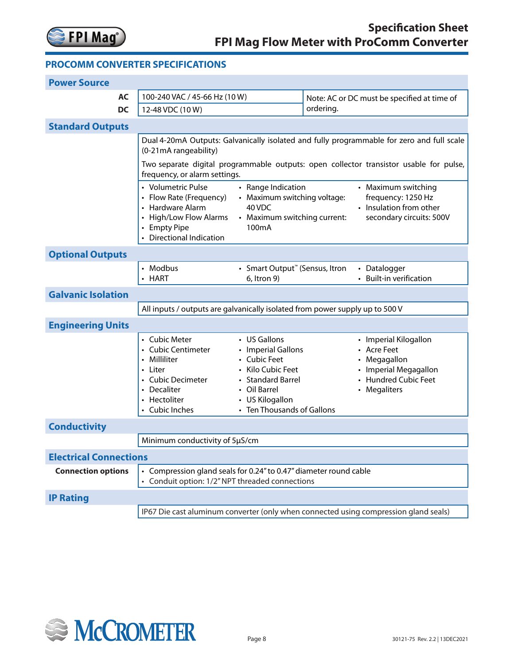

## **PROCOMM CONVERTER SPECIFICATIONS 9.0 SPECIFICATIONS**

| <b>Power Source</b>           |                                                                                                                                                                                                                                                                                                                                                                        |                                                                                                                                                               |                                                                                                                               |  |  |  |  |  |  |  |
|-------------------------------|------------------------------------------------------------------------------------------------------------------------------------------------------------------------------------------------------------------------------------------------------------------------------------------------------------------------------------------------------------------------|---------------------------------------------------------------------------------------------------------------------------------------------------------------|-------------------------------------------------------------------------------------------------------------------------------|--|--|--|--|--|--|--|
| <b>AC</b>                     | 100-240 VAC / 45-66 Hz (10W)                                                                                                                                                                                                                                                                                                                                           |                                                                                                                                                               | Note: AC or DC must be specified at time of                                                                                   |  |  |  |  |  |  |  |
| <b>DC</b>                     | 12-48 VDC (10W)                                                                                                                                                                                                                                                                                                                                                        |                                                                                                                                                               | ordering.                                                                                                                     |  |  |  |  |  |  |  |
| <b>Standard Outputs</b>       |                                                                                                                                                                                                                                                                                                                                                                        |                                                                                                                                                               |                                                                                                                               |  |  |  |  |  |  |  |
|                               | Dual 4-20mA Outputs: Galvanically isolated and fully programmable for zero and full scale<br>(0-21mA rangeability)                                                                                                                                                                                                                                                     |                                                                                                                                                               |                                                                                                                               |  |  |  |  |  |  |  |
|                               | Two separate digital programmable outputs: open collector transistor usable for pulse,<br>frequency, or alarm settings.                                                                                                                                                                                                                                                |                                                                                                                                                               |                                                                                                                               |  |  |  |  |  |  |  |
|                               | • Volumetric Pulse<br>• Range Indication<br>• Maximum switching<br>• Flow Rate (Frequency)<br>• Maximum switching voltage:<br>frequency: 1250 Hz<br>• Insulation from other<br>• Hardware Alarm<br>40 VDC<br>• High/Low Flow Alarms<br>• Maximum switching current:<br>secondary circuits: 500V<br>• Empty Pipe<br>100 <sub>m</sub> A<br><b>Directional Indication</b> |                                                                                                                                                               |                                                                                                                               |  |  |  |  |  |  |  |
| <b>Optional Outputs</b>       |                                                                                                                                                                                                                                                                                                                                                                        |                                                                                                                                                               |                                                                                                                               |  |  |  |  |  |  |  |
|                               | • Modbus<br>• HART                                                                                                                                                                                                                                                                                                                                                     | • Smart Output" (Sensus, Itron<br>6, Itron 9)                                                                                                                 | • Datalogger<br>• Built-in verification                                                                                       |  |  |  |  |  |  |  |
| <b>Galvanic Isolation</b>     |                                                                                                                                                                                                                                                                                                                                                                        |                                                                                                                                                               |                                                                                                                               |  |  |  |  |  |  |  |
|                               | All inputs / outputs are galvanically isolated from power supply up to 500 V                                                                                                                                                                                                                                                                                           |                                                                                                                                                               |                                                                                                                               |  |  |  |  |  |  |  |
| <b>Engineering Units</b>      |                                                                                                                                                                                                                                                                                                                                                                        |                                                                                                                                                               |                                                                                                                               |  |  |  |  |  |  |  |
|                               | • Cubic Meter<br>• Cubic Centimeter<br>• Milliliter<br>• Liter<br>• Cubic Decimeter<br>• Decaliter<br>• Hectoliter<br>Cubic Inches                                                                                                                                                                                                                                     | • US Gallons<br>• Imperial Gallons<br>• Cubic Feet<br>• Kilo Cubic Feet<br>• Standard Barrel<br>• Oil Barrel<br>• US Kilogallon<br>• Ten Thousands of Gallons | • Imperial Kilogallon<br><b>Acre Feet</b><br>Megagallon<br>• Imperial Megagallon<br><b>Hundred Cubic Feet</b><br>• Megaliters |  |  |  |  |  |  |  |
| <b>Conductivity</b>           |                                                                                                                                                                                                                                                                                                                                                                        |                                                                                                                                                               |                                                                                                                               |  |  |  |  |  |  |  |
|                               | Minimum conductivity of 5µS/cm                                                                                                                                                                                                                                                                                                                                         |                                                                                                                                                               |                                                                                                                               |  |  |  |  |  |  |  |
| <b>Electrical Connections</b> |                                                                                                                                                                                                                                                                                                                                                                        |                                                                                                                                                               |                                                                                                                               |  |  |  |  |  |  |  |
| <b>Connection options</b>     | • Compression gland seals for 0.24" to 0.47" diameter round cable<br>Conduit option: 1/2" NPT threaded connections<br>$\bullet$                                                                                                                                                                                                                                        |                                                                                                                                                               |                                                                                                                               |  |  |  |  |  |  |  |
| <b>IP Rating</b>              |                                                                                                                                                                                                                                                                                                                                                                        |                                                                                                                                                               |                                                                                                                               |  |  |  |  |  |  |  |
|                               | IP67 Die cast aluminum converter (only when connected using compression gland seals)                                                                                                                                                                                                                                                                                   |                                                                                                                                                               |                                                                                                                               |  |  |  |  |  |  |  |

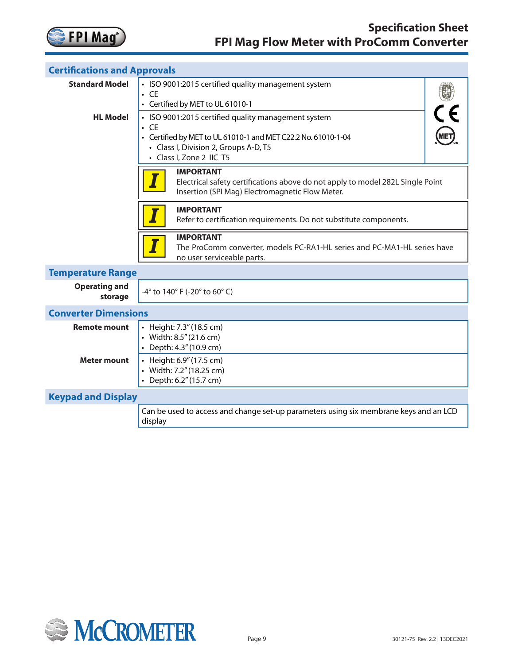

| <b>Certifications and Approvals</b> |                                                                                                                                                       |  |  |  |  |  |  |  |  |
|-------------------------------------|-------------------------------------------------------------------------------------------------------------------------------------------------------|--|--|--|--|--|--|--|--|
| <b>Standard Model</b>               | • ISO 9001:2015 certified quality management system                                                                                                   |  |  |  |  |  |  |  |  |
|                                     | $\cdot$ CE                                                                                                                                            |  |  |  |  |  |  |  |  |
|                                     | • Certified by MET to UL 61010-1                                                                                                                      |  |  |  |  |  |  |  |  |
| <b>HL Model</b>                     | • ISO 9001:2015 certified quality management system                                                                                                   |  |  |  |  |  |  |  |  |
|                                     | $\cdot$ CE                                                                                                                                            |  |  |  |  |  |  |  |  |
|                                     | • Certified by MET to UL 61010-1 and MET C22.2 No. 61010-1-04                                                                                         |  |  |  |  |  |  |  |  |
|                                     | • Class I, Division 2, Groups A-D, T5<br>• Class I, Zone 2 IIC T5                                                                                     |  |  |  |  |  |  |  |  |
|                                     | <b>IMPORTANT</b><br>Electrical safety certifications above do not apply to model 282L Single Point<br>Insertion (SPI Mag) Electromagnetic Flow Meter. |  |  |  |  |  |  |  |  |
|                                     | <b>IMPORTANT</b><br>Refer to certification requirements. Do not substitute components.                                                                |  |  |  |  |  |  |  |  |
|                                     | <b>IMPORTANT</b><br>The ProComm converter, models PC-RA1-HL series and PC-MA1-HL series have<br>no user serviceable parts.                            |  |  |  |  |  |  |  |  |
| <b>Temperature Range</b>            |                                                                                                                                                       |  |  |  |  |  |  |  |  |
| <b>Operating and</b><br>storage     | -4° to 140° F (-20° to 60° C)                                                                                                                         |  |  |  |  |  |  |  |  |
| <b>Converter Dimensions</b>         |                                                                                                                                                       |  |  |  |  |  |  |  |  |
| <b>Remote mount</b>                 | • Height: 7.3" (18.5 cm)                                                                                                                              |  |  |  |  |  |  |  |  |
|                                     | • Width: 8.5" (21.6 cm)                                                                                                                               |  |  |  |  |  |  |  |  |
|                                     | • Depth: 4.3" (10.9 cm)                                                                                                                               |  |  |  |  |  |  |  |  |
| <b>Meter mount</b>                  | • Height: 6.9" (17.5 cm)                                                                                                                              |  |  |  |  |  |  |  |  |
|                                     | • Width: 7.2" (18.25 cm)<br>• Depth: 6.2" (15.7 cm)                                                                                                   |  |  |  |  |  |  |  |  |
|                                     |                                                                                                                                                       |  |  |  |  |  |  |  |  |
|                                     | <b>Keypad and Display</b>                                                                                                                             |  |  |  |  |  |  |  |  |
|                                     | Can be used to access and change set-up parameters using six membrane keys and an LCD<br>display                                                      |  |  |  |  |  |  |  |  |